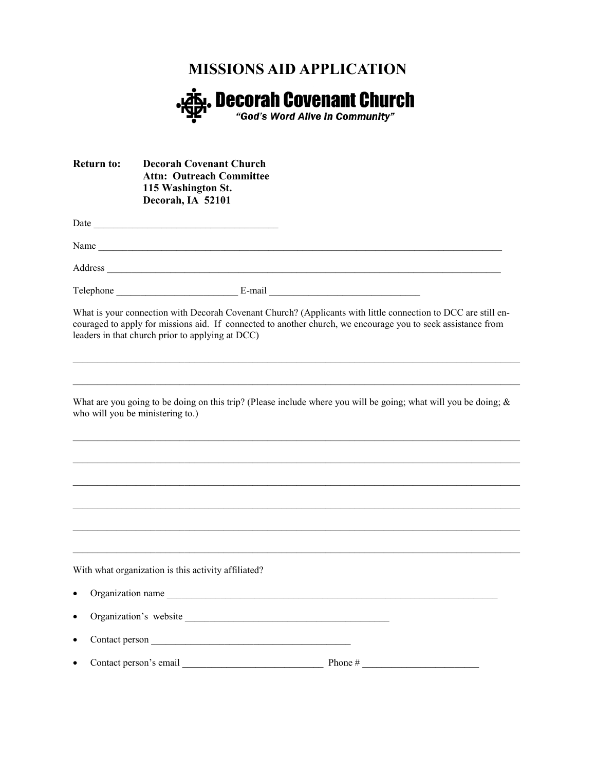## **MISSIONS AID APPLICATION**



| <b>Return to:</b> | <b>Decorah Covenant Church</b><br><b>Attn: Outreach Committee</b><br>115 Washington St.<br>Decorah, IA 52101 |                                                                                                                                                                                                                               |
|-------------------|--------------------------------------------------------------------------------------------------------------|-------------------------------------------------------------------------------------------------------------------------------------------------------------------------------------------------------------------------------|
|                   |                                                                                                              |                                                                                                                                                                                                                               |
|                   |                                                                                                              |                                                                                                                                                                                                                               |
|                   |                                                                                                              |                                                                                                                                                                                                                               |
|                   |                                                                                                              |                                                                                                                                                                                                                               |
|                   | leaders in that church prior to applying at DCC)                                                             | What is your connection with Decorah Covenant Church? (Applicants with little connection to DCC are still en-<br>couraged to apply for missions aid. If connected to another church, we encourage you to seek assistance from |
|                   |                                                                                                              |                                                                                                                                                                                                                               |
|                   | who will you be ministering to.)                                                                             | What are you going to be doing on this trip? (Please include where you will be going; what will you be doing; $\&$                                                                                                            |
|                   |                                                                                                              |                                                                                                                                                                                                                               |
|                   |                                                                                                              |                                                                                                                                                                                                                               |
|                   |                                                                                                              |                                                                                                                                                                                                                               |
|                   |                                                                                                              |                                                                                                                                                                                                                               |
|                   |                                                                                                              |                                                                                                                                                                                                                               |
|                   | With what organization is this activity affiliated?                                                          |                                                                                                                                                                                                                               |
| $\bullet$         |                                                                                                              | Organization name                                                                                                                                                                                                             |
| $\bullet$         | Organization's website                                                                                       |                                                                                                                                                                                                                               |
| $\bullet$         |                                                                                                              |                                                                                                                                                                                                                               |
|                   |                                                                                                              |                                                                                                                                                                                                                               |